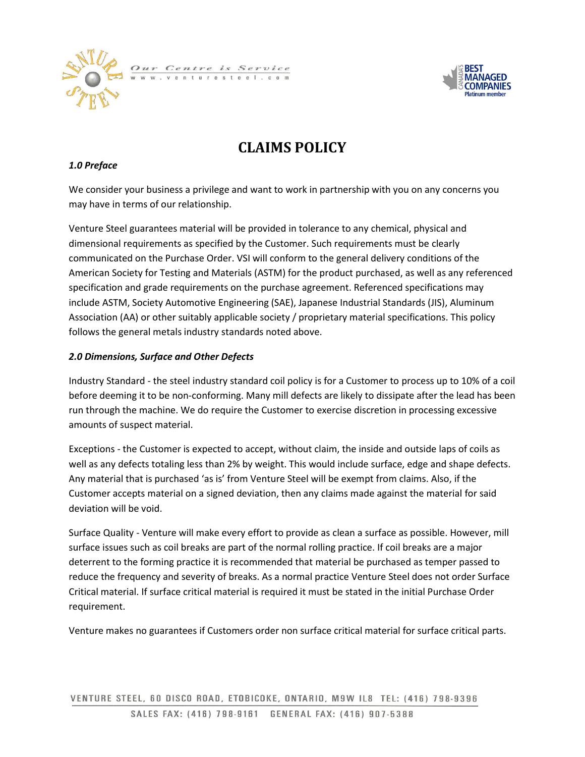



# **CLAIMS POLICY**

### *1.0 Preface*

We consider your business a privilege and want to work in partnership with you on any concerns you may have in terms of our relationship.

Venture Steel guarantees material will be provided in tolerance to any chemical, physical and dimensional requirements as specified by the Customer. Such requirements must be clearly communicated on the Purchase Order. VSI will conform to the general delivery conditions of the American Society for Testing and Materials (ASTM) for the product purchased, as well as any referenced specification and grade requirements on the purchase agreement. Referenced specifications may include ASTM, Society Automotive Engineering (SAE), Japanese Industrial Standards (JIS), Aluminum Association (AA) or other suitably applicable society / proprietary material specifications. This policy follows the general metals industry standards noted above.

#### *2.0 Dimensions, Surface and Other Defects*

Industry Standard - the steel industry standard coil policy is for a Customer to process up to 10% of a coil before deeming it to be non-conforming. Many mill defects are likely to dissipate after the lead has been run through the machine. We do require the Customer to exercise discretion in processing excessive amounts of suspect material.

Exceptions - the Customer is expected to accept, without claim, the inside and outside laps of coils as well as any defects totaling less than 2% by weight. This would include surface, edge and shape defects. Any material that is purchased 'as is' from Venture Steel will be exempt from claims. Also, if the Customer accepts material on a signed deviation, then any claims made against the material for said deviation will be void.

Surface Quality - Venture will make every effort to provide as clean a surface as possible. However, mill surface issues such as coil breaks are part of the normal rolling practice. If coil breaks are a major deterrent to the forming practice it is recommended that material be purchased as temper passed to reduce the frequency and severity of breaks. As a normal practice Venture Steel does not order Surface Critical material. If surface critical material is required it must be stated in the initial Purchase Order requirement.

Venture makes no guarantees if Customers order non surface critical material for surface critical parts.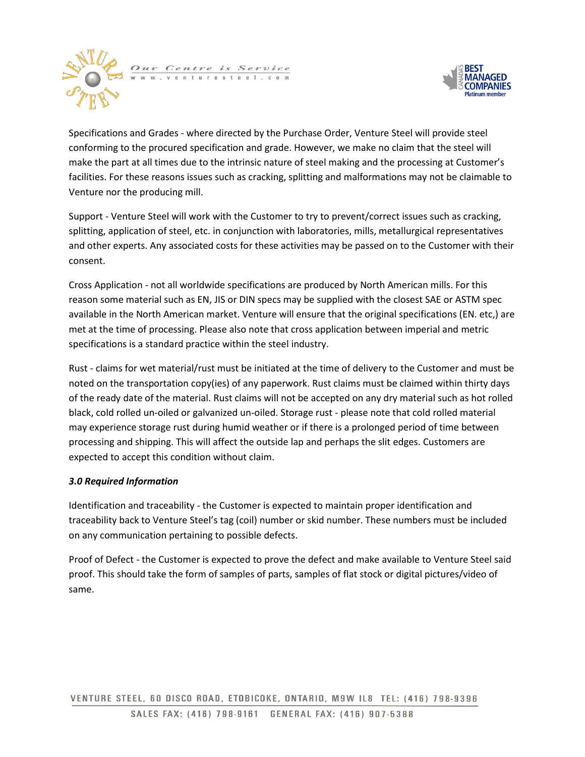



Specifications and Grades - where directed by the Purchase Order, Venture Steel will provide steel conforming to the procured specification and grade. However, we make no claim that the steel will make the part at all times due to the intrinsic nature of steel making and the processing at Customer's facilities. For these reasons issues such as cracking, splitting and malformations may not be claimable to Venture nor the producing mill.

Support - Venture Steel will work with the Customer to try to prevent/correct issues such as cracking, splitting, application of steel, etc. in conjunction with laboratories, mills, metallurgical representatives and other experts. Any associated costs for these activities may be passed on to the Customer with their consent.

Cross Application - not all worldwide specifications are produced by North American mills. For this reason some material such as EN, JIS or DIN specs may be supplied with the closest SAE or ASTM spec available in the North American market. Venture will ensure that the original specifications (EN. etc,) are met at the time of processing. Please also note that cross application between imperial and metric specifications is a standard practice within the steel industry.

Rust - claims for wet material/rust must be initiated at the time of delivery to the Customer and must be noted on the transportation copy(ies) of any paperwork. Rust claims must be claimed within thirty days of the ready date of the material. Rust claims will not be accepted on any dry material such as hot rolled black, cold rolled un-oiled or galvanized un-oiled. Storage rust - please note that cold rolled material may experience storage rust during humid weather or if there is a prolonged period of time between processing and shipping. This will affect the outside lap and perhaps the slit edges. Customers are expected to accept this condition without claim.

## *3.0 Required Information*

Identification and traceability - the Customer is expected to maintain proper identification and traceability back to Venture Steel's tag (coil) number or skid number. These numbers must be included on any communication pertaining to possible defects.

Proof of Defect - the Customer is expected to prove the defect and make available to Venture Steel said proof. This should take the form of samples of parts, samples of flat stock or digital pictures/video of same.